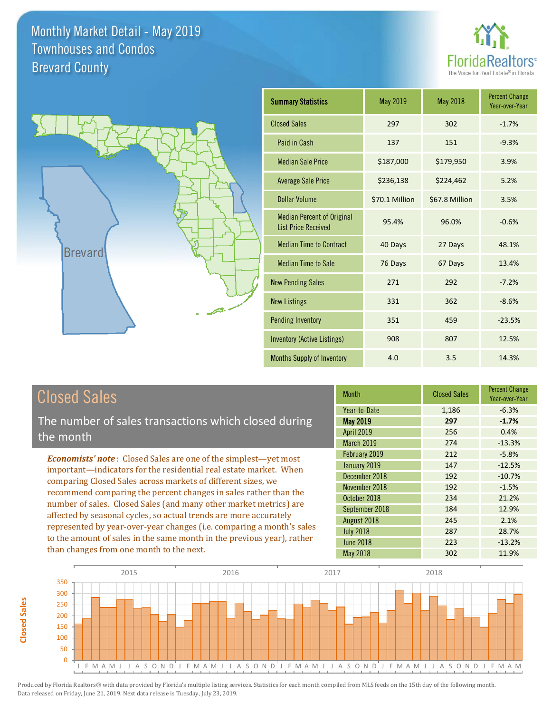



| <b>Summary Statistics</b>                                       | May 2019       | <b>May 2018</b> | <b>Percent Change</b><br>Year-over-Year |
|-----------------------------------------------------------------|----------------|-----------------|-----------------------------------------|
| <b>Closed Sales</b>                                             | 297            | 302             | $-1.7%$                                 |
| Paid in Cash                                                    | 137            | 151             | $-9.3%$                                 |
| <b>Median Sale Price</b>                                        | \$187,000      | \$179,950       | 3.9%                                    |
| <b>Average Sale Price</b>                                       | \$236,138      | \$224,462       | 5.2%                                    |
| Dollar Volume                                                   | \$70.1 Million | \$67.8 Million  | 3.5%                                    |
| <b>Median Percent of Original</b><br><b>List Price Received</b> | 95.4%          | 96.0%           | $-0.6%$                                 |
| <b>Median Time to Contract</b>                                  | 40 Days        | 27 Days         | 48.1%                                   |
| <b>Median Time to Sale</b>                                      | 76 Days        | 67 Days         | 13.4%                                   |
| <b>New Pending Sales</b>                                        | 271            | 292             | $-7.2%$                                 |
| <b>New Listings</b>                                             | 331            | 362             | $-8.6%$                                 |
| <b>Pending Inventory</b>                                        | 351            | 459             | $-23.5%$                                |
| <b>Inventory (Active Listings)</b>                              | 908            | 807             | 12.5%                                   |
| Months Supply of Inventory                                      | 4.0            | 3.5             | 14.3%                                   |

# Closed Sales

The number of sales transactions which closed during the month

*Economists' note* : Closed Sales are one of the simplest—yet most important—indicators for the residential real estate market. When comparing Closed Sales across markets of different sizes, we recommend comparing the percent changes in sales rather than the number of sales. Closed Sales (and many other market metrics) are affected by seasonal cycles, so actual trends are more accurately represented by year-over-year changes (i.e. comparing a month's sales to the amount of sales in the same month in the previous year), rather than changes from one month to the next.

| <b>Month</b>      | <b>Closed Sales</b> | <b>Percent Change</b><br>Year-over-Year |
|-------------------|---------------------|-----------------------------------------|
| Year-to-Date      | 1,186               | $-6.3%$                                 |
| <b>May 2019</b>   | 297                 | $-1.7%$                                 |
| <b>April 2019</b> | 256                 | 0.4%                                    |
| March 2019        | 274                 | $-13.3%$                                |
| February 2019     | 212                 | $-5.8%$                                 |
| January 2019      | 147                 | $-12.5%$                                |
| December 2018     | 192                 | $-10.7%$                                |
| November 2018     | 192                 | $-1.5%$                                 |
| October 2018      | 234                 | 21.2%                                   |
| September 2018    | 184                 | 12.9%                                   |
| August 2018       | 245                 | 2.1%                                    |
| <b>July 2018</b>  | 287                 | 28.7%                                   |
| <b>June 2018</b>  | 223                 | $-13.2%$                                |
| <b>May 2018</b>   | 302                 | 11.9%                                   |

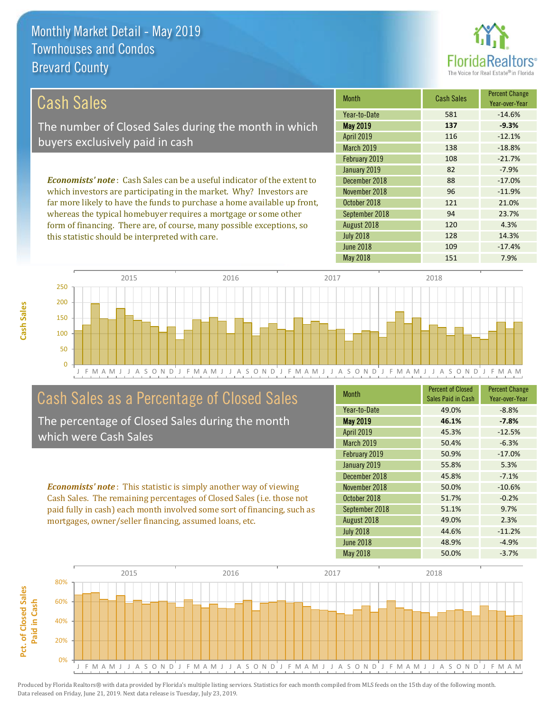

128 14.3%

120 4.3%

| Cash Sales                                                                     | <b>Month</b>      | <b>Cash Sales</b> | <b>Percent Change</b><br>Year-over-Year |
|--------------------------------------------------------------------------------|-------------------|-------------------|-----------------------------------------|
|                                                                                | Year-to-Date      | 581               | $-14.6%$                                |
| The number of Closed Sales during the month in which                           | <b>May 2019</b>   | 137               | $-9.3%$                                 |
| buyers exclusively paid in cash                                                | <b>April 2019</b> | 116               | $-12.1%$                                |
|                                                                                | <b>March 2019</b> | 138               | $-18.8%$                                |
|                                                                                | February 2019     | 108               | $-21.7%$                                |
|                                                                                | January 2019      | 82                | $-7.9%$                                 |
| <b>Economists' note:</b> Cash Sales can be a useful indicator of the extent to | December 2018     | 88                | $-17.0\%$                               |
| which investors are participating in the market. Why? Investors are            | November 2018     | 96                | $-11.9%$                                |
| far more likely to have the funds to purchase a home available up front,       | October 2018      | 121               | 21.0%                                   |
| whereas the typical homebuyer requires a mortgage or some other                | September 2018    | 94                | 23.7%                                   |

August 2018

July 2018

J F M A M J J A S O N D J F M A M J J A S O N D J F M A M J J A S O N D J F M A M J J A S O N D J F M A M 0 50 100 150 200 250 2015 2016 2017 2018

# Cash Sales as a Percentage of Closed Sales

form of financing. There are, of course, many possible exceptions, so

this statistic should be interpreted with care.

The percentage of Closed Sales during the month which were Cash Sales

*Economists' note* : This statistic is simply another way of viewing Cash Sales. The remaining percentages of Closed Sales (i.e. those not paid fully in cash) each month involved some sort of financing, such as mortgages, owner/seller financing, assumed loans, etc.

| <b>Month</b>      | <b>Percent of Closed</b><br>Sales Paid in Cash | <b>Percent Change</b><br>Year-over-Year |
|-------------------|------------------------------------------------|-----------------------------------------|
| Year-to-Date      | 49.0%                                          | $-8.8%$                                 |
| <b>May 2019</b>   | 46.1%                                          | $-7.8%$                                 |
| April 2019        | 45.3%                                          | $-12.5%$                                |
| <b>March 2019</b> | 50.4%                                          | $-6.3%$                                 |
| February 2019     | 50.9%                                          | $-17.0%$                                |
| January 2019      | 55.8%                                          | 5.3%                                    |
| December 2018     | 45.8%                                          | $-7.1%$                                 |
| November 2018     | 50.0%                                          | $-10.6%$                                |
| October 2018      | 51.7%                                          | $-0.2%$                                 |
| September 2018    | 51.1%                                          | 9.7%                                    |
| August 2018       | 49.0%                                          | 2.3%                                    |
| <b>July 2018</b>  | 44.6%                                          | $-11.2%$                                |
| <b>June 2018</b>  | 48.9%                                          | $-4.9%$                                 |
| <b>May 2018</b>   | 50.0%                                          | $-3.7%$                                 |

June 2018 **109** -17.4%

May 2018 151 7.9%

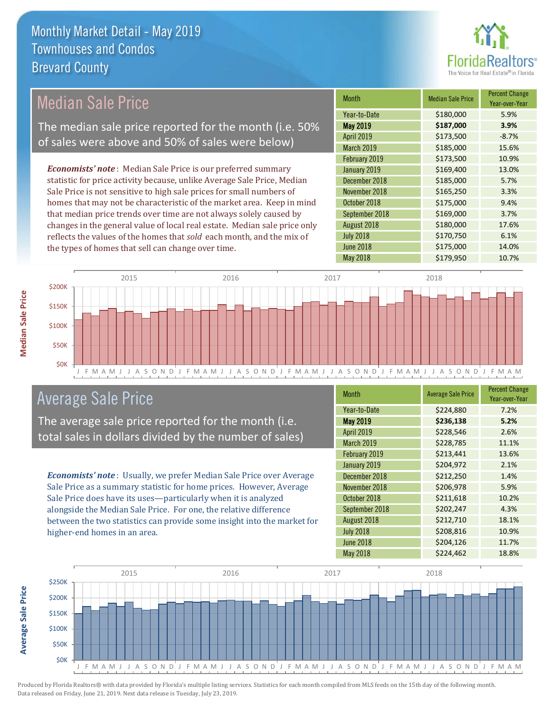

Year-over-Year

#### *Economists' note* : Median Sale Price is our preferred summary statistic for price activity because, unlike Average Sale Price, Median Sale Price is not sensitive to high sale prices for small numbers of homes that may not be characteristic of the market area. Keep in mind that median price trends over time are not always solely caused by changes in the general value of local real estate. Median sale price only reflects the values of the homes that *sold* each month, and the mix of the types of homes that sell can change over time. July 2018 **\$170,750** 6.1% June 2018 **\$175,000** 14.0% September 2018 **\$169,000** 3.7% August 2018 **\$180,000** 17.6% \$173,500 10.9% January 2019 **\$169,400** \$169,400 13.0% October 2018 **\$175,000** 9.4% April 2019 **\$173,500** -8.7% March 2019 **\$185,000** 15.6% December 2018 **\$185,000** 5.7% November 2018 **\$165,250** 3.3% February 2019 Month Median Sale Price Percent Change May 2019 **\$187,000 3.9%** Year-to-Date \$180,000 5.9% Median Sale Price The median sale price reported for the month (i.e. 50% of sales were above and 50% of sales were below)



### Average Sale Price

The average sale price reported for the month (i.e. total sales in dollars divided by the number of sales)

*Economists' note* : Usually, we prefer Median Sale Price over Average Sale Price as a summary statistic for home prices. However, Average Sale Price does have its uses—particularly when it is analyzed alongside the Median Sale Price. For one, the relative difference between the two statistics can provide some insight into the market for higher-end homes in an area.

| Month            | <b>Average Sale Price</b> | <b>Percent Change</b><br>Year-over-Year |
|------------------|---------------------------|-----------------------------------------|
| Year-to-Date     | \$224,880                 | 7.2%                                    |
| <b>May 2019</b>  | \$236,138                 | 5.2%                                    |
| April 2019       | \$228,546                 | 2.6%                                    |
| March 2019       | \$228,785                 | 11.1%                                   |
| February 2019    | \$213,441                 | 13.6%                                   |
| January 2019     | \$204,972                 | 2.1%                                    |
| December 2018    | \$212,250                 | 1.4%                                    |
| November 2018    | \$206,978                 | 5.9%                                    |
| October 2018     | \$211,618                 | 10.2%                                   |
| September 2018   | \$202,247                 | 4.3%                                    |
| August 2018      | \$212,710                 | 18.1%                                   |
| <b>July 2018</b> | \$208,816                 | 10.9%                                   |
| <b>June 2018</b> | \$204,126                 | 11.7%                                   |
| <b>May 2018</b>  | \$224,462                 | 18.8%                                   |

May 2018 **\$179,950** 10.7%



**Average Sale Price**

**Average Sale Price**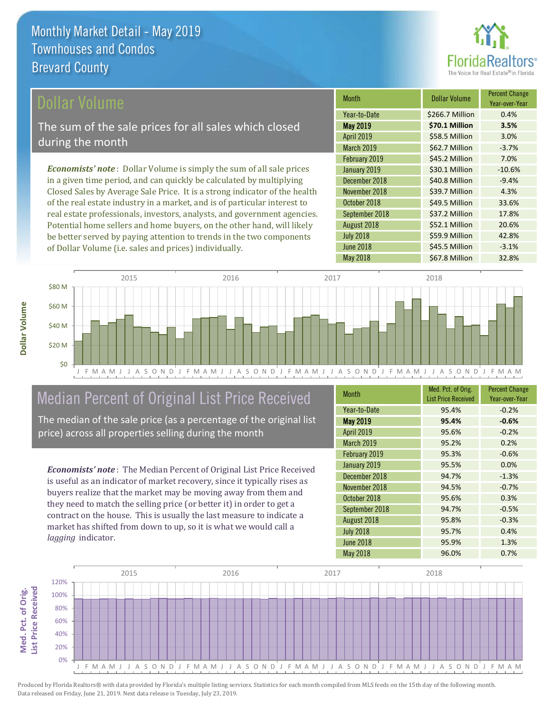

#### ollar Volume

The sum of the sale prices for all sales which closed during the month

*Economists' note* : Dollar Volume is simply the sum of all sale prices in a given time period, and can quickly be calculated by multiplying Closed Sales by Average Sale Price. It is a strong indicator of the health of the real estate industry in a market, and is of particular interest to real estate professionals, investors, analysts, and government agencies. Potential home sellers and home buyers, on the other hand, will likely be better served by paying attention to trends in the two components of Dollar Volume (i.e. sales and prices) individually.

| <b>Month</b>      | <b>Dollar Volume</b> | <b>Percent Change</b><br>Year-over-Year |
|-------------------|----------------------|-----------------------------------------|
| Year-to-Date      | \$266.7 Million      | 0.4%                                    |
| <b>May 2019</b>   | \$70.1 Million       | 3.5%                                    |
| <b>April 2019</b> | \$58.5 Million       | 3.0%                                    |
| March 2019        | \$62.7 Million       | $-3.7%$                                 |
| February 2019     | \$45.2 Million       | 7.0%                                    |
| January 2019      | \$30.1 Million       | $-10.6%$                                |
| December 2018     | \$40.8 Million       | $-9.4%$                                 |
| November 2018     | \$39.7 Million       | 4.3%                                    |
| October 2018      | \$49.5 Million       | 33.6%                                   |
| September 2018    | \$37.2 Million       | 17.8%                                   |
| August 2018       | \$52.1 Million       | 20.6%                                   |
| <b>July 2018</b>  | \$59.9 Million       | 42.8%                                   |
| <b>June 2018</b>  | \$45.5 Million       | $-3.1%$                                 |
| <b>May 2018</b>   | \$67.8 Million       | 32.8%                                   |



# Median Percent of Original List Price Received

The median of the sale price (as a percentage of the original list price) across all properties selling during the month

*Economists' note* : The Median Percent of Original List Price Received is useful as an indicator of market recovery, since it typically rises as buyers realize that the market may be moving away from them and they need to match the selling price (or better it) in order to get a contract on the house. This is usually the last measure to indicate a market has shifted from down to up, so it is what we would call a *lagging* indicator.

| <b>Month</b>      | Med. Pct. of Orig.<br><b>List Price Received</b> | <b>Percent Change</b><br>Year-over-Year |
|-------------------|--------------------------------------------------|-----------------------------------------|
| Year-to-Date      | 95.4%                                            | $-0.2%$                                 |
| <b>May 2019</b>   | 95.4%                                            | $-0.6%$                                 |
| April 2019        | 95.6%                                            | $-0.2%$                                 |
| <b>March 2019</b> | 95.2%                                            | 0.2%                                    |
| February 2019     | 95.3%                                            | $-0.6%$                                 |
| January 2019      | 95.5%                                            | 0.0%                                    |
| December 2018     | 94.7%                                            | $-1.3%$                                 |
| November 2018     | 94.5%                                            | $-0.7%$                                 |
| October 2018      | 95.6%                                            | 0.3%                                    |
| September 2018    | 94.7%                                            | $-0.5%$                                 |
| August 2018       | 95.8%                                            | $-0.3%$                                 |
| <b>July 2018</b>  | 95.7%                                            | 0.4%                                    |
| <b>June 2018</b>  | 95.9%                                            | 1.3%                                    |
| <b>May 2018</b>   | 96.0%                                            | 0.7%                                    |

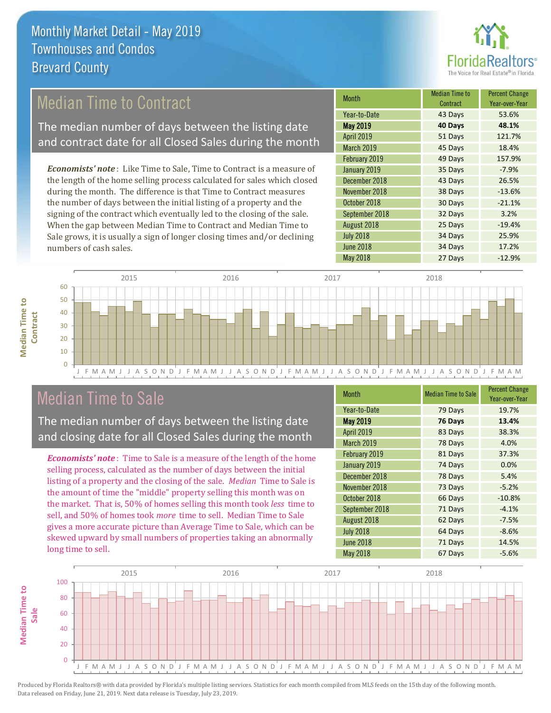

## Median Time to Contract

The median number of days between the listing date and contract date for all Closed Sales during the month

*Economists' note* : Like Time to Sale, Time to Contract is a measure of the length of the home selling process calculated for sales which closed during the month. The difference is that Time to Contract measures the number of days between the initial listing of a property and the signing of the contract which eventually led to the closing of the sale. When the gap between Median Time to Contract and Median Time to Sale grows, it is usually a sign of longer closing times and/or declining numbers of cash sales.

| <b>Month</b>     | <b>Median Time to</b><br>Contract | <b>Percent Change</b><br>Year-over-Year |
|------------------|-----------------------------------|-----------------------------------------|
| Year-to-Date     | 43 Days                           | 53.6%                                   |
| <b>May 2019</b>  | 40 Days                           | 48.1%                                   |
| April 2019       | 51 Days                           | 121.7%                                  |
| March 2019       | 45 Days                           | 18.4%                                   |
| February 2019    | 49 Days                           | 157.9%                                  |
| January 2019     | 35 Days                           | $-7.9%$                                 |
| December 2018    | 43 Days                           | 26.5%                                   |
| November 2018    | 38 Days                           | $-13.6%$                                |
| October 2018     | 30 Days                           | $-21.1%$                                |
| September 2018   | 32 Days                           | 3.2%                                    |
| August 2018      | 25 Days                           | $-19.4%$                                |
| <b>July 2018</b> | 34 Days                           | 25.9%                                   |
| <b>June 2018</b> | 34 Days                           | 17.2%                                   |
| <b>May 2018</b>  | 27 Days                           | $-12.9%$                                |



### Median Time to Sale

**Median Time to** 

**Median Time to** 

The median number of days between the listing date and closing date for all Closed Sales during the month

*Economists' note* : Time to Sale is a measure of the length of the home selling process, calculated as the number of days between the initial listing of a property and the closing of the sale. *Median* Time to Sale is the amount of time the "middle" property selling this month was on the market. That is, 50% of homes selling this month took *less* time to sell, and 50% of homes took *more* time to sell. Median Time to Sale gives a more accurate picture than Average Time to Sale, which can be skewed upward by small numbers of properties taking an abnormally long time to sell.

| <b>Month</b>      | <b>Median Time to Sale</b> | <b>Percent Change</b><br>Year-over-Year |
|-------------------|----------------------------|-----------------------------------------|
| Year-to-Date      | 79 Days                    | 19.7%                                   |
| <b>May 2019</b>   | 76 Days                    | 13.4%                                   |
| April 2019        | 83 Days                    | 38.3%                                   |
| <b>March 2019</b> | 78 Days                    | 4.0%                                    |
| February 2019     | 81 Days                    | 37.3%                                   |
| January 2019      | 74 Days                    | 0.0%                                    |
| December 2018     | 78 Days                    | 5.4%                                    |
| November 2018     | 73 Days                    | $-5.2%$                                 |
| October 2018      | 66 Days                    | $-10.8%$                                |
| September 2018    | 71 Days                    | $-4.1%$                                 |
| August 2018       | 62 Days                    | $-7.5%$                                 |
| <b>July 2018</b>  | 64 Days                    | $-8.6%$                                 |
| <b>June 2018</b>  | 71 Days                    | 14.5%                                   |
| <b>May 2018</b>   | 67 Days                    | $-5.6%$                                 |

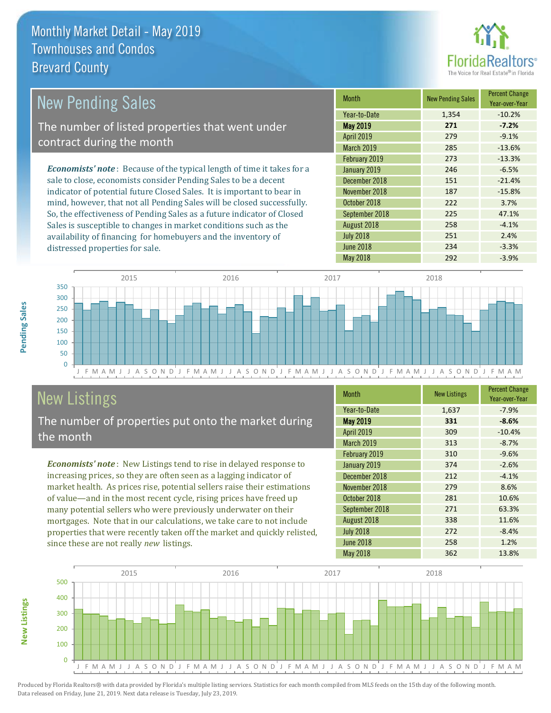distressed properties for sale.



| <b>New Pending Sales</b>                                                       | <b>Month</b>      | <b>New Pending Sales</b> | <b>Percent Change</b><br>Year-over-Year |
|--------------------------------------------------------------------------------|-------------------|--------------------------|-----------------------------------------|
|                                                                                | Year-to-Date      | 1,354                    | $-10.2%$                                |
| The number of listed properties that went under                                | <b>May 2019</b>   | 271                      | $-7.2%$                                 |
| contract during the month                                                      | <b>April 2019</b> | 279                      | $-9.1%$                                 |
|                                                                                | <b>March 2019</b> | 285                      | $-13.6%$                                |
|                                                                                | February 2019     | 273                      | $-13.3%$                                |
| <b>Economists' note</b> : Because of the typical length of time it takes for a | January 2019      | 246                      | $-6.5%$                                 |
| sale to close, economists consider Pending Sales to be a decent                | December 2018     | 151                      | $-21.4%$                                |
| indicator of potential future Closed Sales. It is important to bear in         | November 2018     | 187                      | $-15.8%$                                |
| mind, however, that not all Pending Sales will be closed successfully.         | October 2018      | 222                      | 3.7%                                    |
| So, the effectiveness of Pending Sales as a future indicator of Closed         | September 2018    | 225                      | 47.1%                                   |

J F M A M J J A S O N D J F M A M J J A S O N D J F M A M J J A S O N D J F M A M J J A S O N D J F M A M  $\Omega$ 50 100 150 200 250 300 350 2015 2016 2017 2018

# New Listings

The number of properties put onto the market during the month

Sales is susceptible to changes in market conditions such as the availability of financing for homebuyers and the inventory of

*Economists' note* : New Listings tend to rise in delayed response to increasing prices, so they are often seen as a lagging indicator of market health. As prices rise, potential sellers raise their estimations of value—and in the most recent cycle, rising prices have freed up many potential sellers who were previously underwater on their mortgages. Note that in our calculations, we take care to not include properties that were recently taken off the market and quickly relisted, since these are not really *new* listings.

| <b>Month</b>      | <b>New Listings</b> | <b>Percent Change</b><br>Year-over-Year |
|-------------------|---------------------|-----------------------------------------|
| Year-to-Date      | 1,637               | $-7.9%$                                 |
| <b>May 2019</b>   | 331                 | $-8.6%$                                 |
| <b>April 2019</b> | 309                 | $-10.4%$                                |
| <b>March 2019</b> | 313                 | $-8.7%$                                 |
| February 2019     | 310                 | $-9.6%$                                 |
| January 2019      | 374                 | $-2.6%$                                 |
| December 2018     | 212                 | $-4.1%$                                 |
| November 2018     | 279                 | 8.6%                                    |
| October 2018      | 281                 | 10.6%                                   |
| September 2018    | 271                 | 63.3%                                   |
| August 2018       | 338                 | 11.6%                                   |
| <b>July 2018</b>  | 272                 | $-8.4%$                                 |
| <b>June 2018</b>  | 258                 | 1.2%                                    |
| <b>May 2018</b>   | 362                 | 13.8%                                   |

May 2018 292 292 3.9%

July 2018 251 2.4% June 2018 234 234 3.3%

August 2018 **258** -4.1%



Produced by Florida Realtors® with data provided by Florida's multiple listing services. Statistics for each month compiled from MLS feeds on the 15th day of the following month. Data released on Friday, June 21, 2019. Next data release is Tuesday, July 23, 2019.

**New Listings**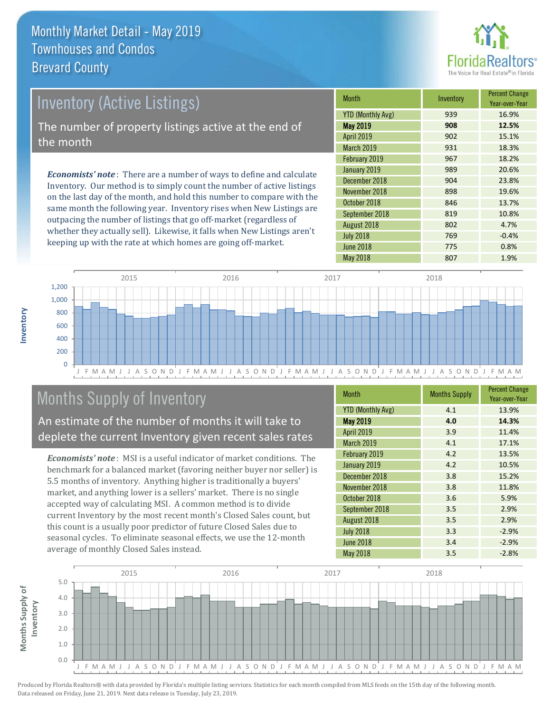

# Inventory (Active Listings) The number of property listings active at the end of the month

*Economists' note* : There are a number of ways to define and calculate Inventory. Our method is to simply count the number of active listings on the last day of the month, and hold this number to compare with the same month the following year. Inventory rises when New Listings are outpacing the number of listings that go off-market (regardless of whether they actually sell). Likewise, it falls when New Listings aren't keeping up with the rate at which homes are going off-market.

| <b>Month</b>             | Inventory | <b>Percent Change</b><br>Year-over-Year |
|--------------------------|-----------|-----------------------------------------|
| <b>YTD (Monthly Avg)</b> | 939       | 16.9%                                   |
| May 2019                 | 908       | 12.5%                                   |
| April 2019               | 902       | 15.1%                                   |
| <b>March 2019</b>        | 931       | 18.3%                                   |
| February 2019            | 967       | 18.2%                                   |
| January 2019             | 989       | 20.6%                                   |
| December 2018            | 904       | 23.8%                                   |
| November 2018            | 898       | 19.6%                                   |
| October 2018             | 846       | 13.7%                                   |
| September 2018           | 819       | 10.8%                                   |
| August 2018              | 802       | 4.7%                                    |
| <b>July 2018</b>         | 769       | $-0.4%$                                 |
| <b>June 2018</b>         | 775       | 0.8%                                    |
| <b>May 2018</b>          | 807       | 1.9%                                    |



# Months Supply of Inventory

An estimate of the number of months it will take to deplete the current Inventory given recent sales rates

*Economists' note* : MSI is a useful indicator of market conditions. The benchmark for a balanced market (favoring neither buyer nor seller) is 5.5 months of inventory. Anything higher is traditionally a buyers' market, and anything lower is a sellers' market. There is no single accepted way of calculating MSI. A common method is to divide current Inventory by the most recent month's Closed Sales count, but this count is a usually poor predictor of future Closed Sales due to seasonal cycles. To eliminate seasonal effects, we use the 12-month average of monthly Closed Sales instead.

| <b>Month</b>             | <b>Months Supply</b> | <b>Percent Change</b><br>Year-over-Year |
|--------------------------|----------------------|-----------------------------------------|
| <b>YTD (Monthly Avg)</b> | 4.1                  | 13.9%                                   |
| May 2019                 | 4.0                  | 14.3%                                   |
| April 2019               | 3.9                  | 11.4%                                   |
| March 2019               | 4.1                  | 17.1%                                   |
| February 2019            | 4.2                  | 13.5%                                   |
| January 2019             | 4.2                  | 10.5%                                   |
| December 2018            | 3.8                  | 15.2%                                   |
| November 2018            | 3.8                  | 11.8%                                   |
| October 2018             | 3.6                  | 5.9%                                    |
| September 2018           | 3.5                  | 2.9%                                    |
| August 2018              | 3.5                  | 2.9%                                    |
| <b>July 2018</b>         | 3.3                  | $-2.9%$                                 |
| <b>June 2018</b>         | 3.4                  | $-2.9%$                                 |
| <b>May 2018</b>          | 3.5                  | $-2.8%$                                 |

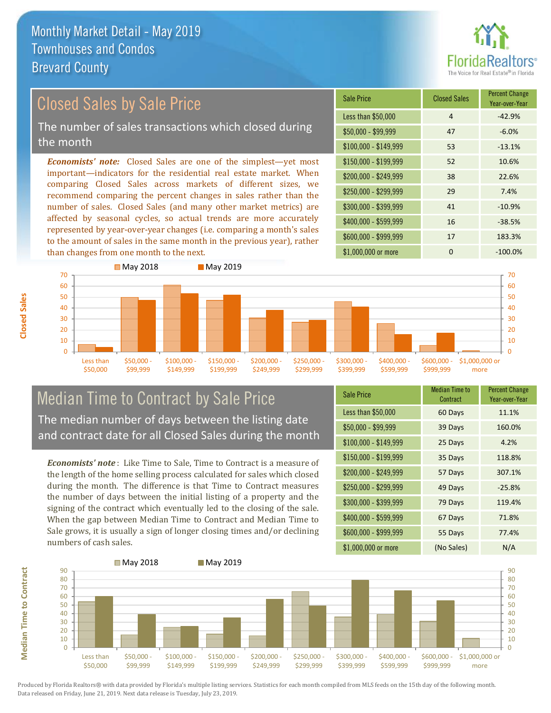than changes from one month to the next.



#### \$100,000 - \$149,999 53 -13.1% Sale Price Closed Sales Percent Change Year-over-Year Less than \$50,000  $\overline{4}$  and  $\overline{4}$  -42.9%  $$50.000 - $99.999$  47 -6.0% \$150,000 - \$199,999 52 10.6% \$200,000 - \$249,999 38 22.6% \$400,000 - \$599,999 16 -38.5% \$600,000 - \$999,999 17 183.3% *Economists' note:* Closed Sales are one of the simplest—yet most important—indicators for the residential real estate market. When comparing Closed Sales across markets of different sizes, we recommend comparing the percent changes in sales rather than the number of sales. Closed Sales (and many other market metrics) are affected by seasonal cycles, so actual trends are more accurately represented by year-over-year changes (i.e. comparing a month's sales to the amount of sales in the same month in the previous year), rather \$250,000 - \$299,999 29 7.4% \$300,000 - \$399,999 41 -10.9% Closed Sales by Sale Price The number of sales transactions which closed during the month



#### Median Time to Contract by Sale Price The median number of days between the listing date and contract date for all Closed Sales during the month

*Economists' note* : Like Time to Sale, Time to Contract is a measure of the length of the home selling process calculated for sales which closed during the month. The difference is that Time to Contract measures the number of days between the initial listing of a property and the signing of the contract which eventually led to the closing of the sale. When the gap between Median Time to Contract and Median Time to Sale grows, it is usually a sign of longer closing times and/or declining numbers of cash sales.

| <b>Sale Price</b>     | <b>Median Time to</b><br>Contract | <b>Percent Change</b><br>Year-over-Year |
|-----------------------|-----------------------------------|-----------------------------------------|
| Less than \$50,000    | 60 Days                           | 11.1%                                   |
| $$50,000 - $99,999$   | 39 Days                           | 160.0%                                  |
| $$100,000 - $149,999$ | 25 Days                           | 4.2%                                    |
| $$150,000 - $199,999$ | 35 Days                           | 118.8%                                  |
| \$200,000 - \$249,999 | 57 Days                           | 307.1%                                  |
| \$250,000 - \$299,999 | 49 Days                           | $-25.8%$                                |
| \$300,000 - \$399,999 | 79 Days                           | 119.4%                                  |
| \$400,000 - \$599,999 | 67 Days                           | 71.8%                                   |
| \$600,000 - \$999,999 | 55 Days                           | 77.4%                                   |
| \$1,000,000 or more   | (No Sales)                        | N/A                                     |

\$1,000,000 or more 0 0 -100.0%



**Closed Sales**

**Median Time to Contract Median Time to Contract**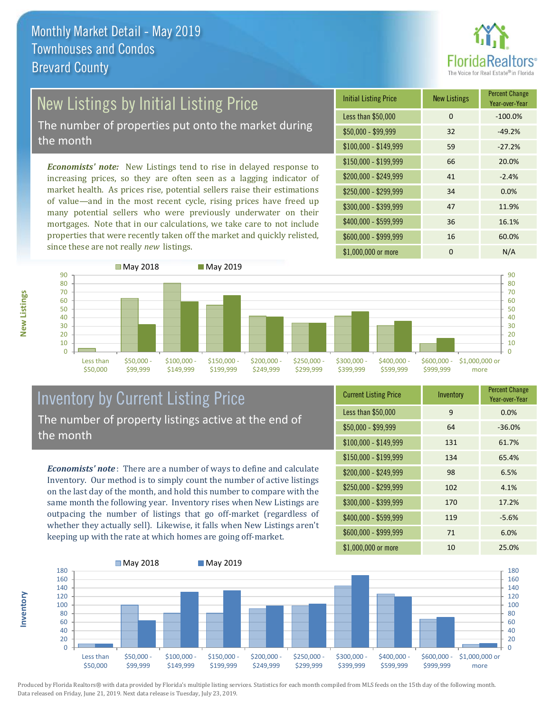

# New Listings by Initial Listing Price

The number of properties put onto the market during the month

*Economists' note:* New Listings tend to rise in delayed response to increasing prices, so they are often seen as a lagging indicator of market health. As prices rise, potential sellers raise their estimations of value—and in the most recent cycle, rising prices have freed up many potential sellers who were previously underwater on their mortgages. Note that in our calculations, we take care to not include properties that were recently taken off the market and quickly relisted, since these are not really *new* listings.





#### Inventory by Current Listing Price The number of property listings active at the end of the month

*Economists' note* : There are a number of ways to define and calculate Inventory. Our method is to simply count the number of active listings on the last day of the month, and hold this number to compare with the same month the following year. Inventory rises when New Listings are outpacing the number of listings that go off-market (regardless of whether they actually sell). Likewise, it falls when New Listings aren't keeping up with the rate at which homes are going off-market.

| <b>Current Listing Price</b> | Inventory | <b>Percent Change</b><br>Year-over-Year |
|------------------------------|-----------|-----------------------------------------|
| Less than \$50,000           | 9         | 0.0%                                    |
| $$50,000 - $99,999$          | 64        | $-36.0%$                                |
| $$100,000 - $149,999$        | 131       | 61.7%                                   |
| $$150,000 - $199,999$        | 134       | 65.4%                                   |
| \$200,000 - \$249,999        | 98        | 6.5%                                    |
| \$250,000 - \$299,999        | 102       | 4.1%                                    |
| \$300,000 - \$399,999        | 170       | 17.2%                                   |
| \$400,000 - \$599,999        | 119       | $-5.6%$                                 |
| \$600,000 - \$999,999        | 71        | 6.0%                                    |
| \$1,000,000 or more          | 10        | 25.0%                                   |



Produced by Florida Realtors® with data provided by Florida's multiple listing services. Statistics for each month compiled from MLS feeds on the 15th day of the following month. Data released on Friday, June 21, 2019. Next data release is Tuesday, July 23, 2019.

**Inventory**